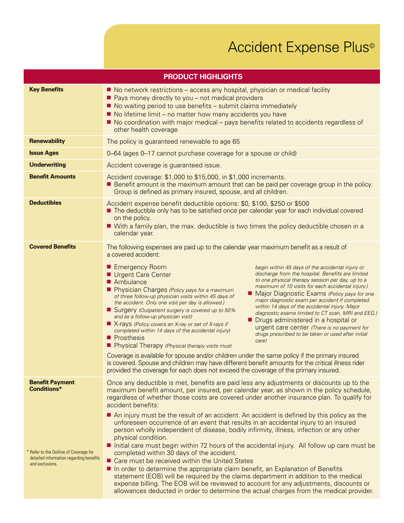## Accident Expense Plus<sup>®</sup>

| <b>PRODUCT HIGHLIGHTS</b>                                                                                                                            |                                                                                                                                                                                                                                                                                                                                                                                                                                                                                                                                                                                                                                                                                                                                                                                                                                                                                                                                                                                                                                                                                                                                                                                                                                                                                                                                                                                                                                                                                                    |
|------------------------------------------------------------------------------------------------------------------------------------------------------|----------------------------------------------------------------------------------------------------------------------------------------------------------------------------------------------------------------------------------------------------------------------------------------------------------------------------------------------------------------------------------------------------------------------------------------------------------------------------------------------------------------------------------------------------------------------------------------------------------------------------------------------------------------------------------------------------------------------------------------------------------------------------------------------------------------------------------------------------------------------------------------------------------------------------------------------------------------------------------------------------------------------------------------------------------------------------------------------------------------------------------------------------------------------------------------------------------------------------------------------------------------------------------------------------------------------------------------------------------------------------------------------------------------------------------------------------------------------------------------------------|
| <b>Key Benefits</b>                                                                                                                                  | ■ No network restrictions – access any hospital, physician or medical facility<br>■ Pays money directly to you – not medical providers<br>■ No waiting period to use benefits – submit claims immediately<br>No lifetime limit – no matter how many accidents you have<br>■ No coordination with major medical – pays benefits related to accidents regardless of<br>other health coverage                                                                                                                                                                                                                                                                                                                                                                                                                                                                                                                                                                                                                                                                                                                                                                                                                                                                                                                                                                                                                                                                                                         |
| <b>Renewability</b>                                                                                                                                  | The policy is guaranteed renewable to age 65                                                                                                                                                                                                                                                                                                                                                                                                                                                                                                                                                                                                                                                                                                                                                                                                                                                                                                                                                                                                                                                                                                                                                                                                                                                                                                                                                                                                                                                       |
| <b>Issue Ages</b>                                                                                                                                    | 0-64 (ages 0-17 cannot purchase coverage for a spouse or child)                                                                                                                                                                                                                                                                                                                                                                                                                                                                                                                                                                                                                                                                                                                                                                                                                                                                                                                                                                                                                                                                                                                                                                                                                                                                                                                                                                                                                                    |
| <b>Underwriting</b>                                                                                                                                  | Accident coverage is guaranteed issue.                                                                                                                                                                                                                                                                                                                                                                                                                                                                                                                                                                                                                                                                                                                                                                                                                                                                                                                                                                                                                                                                                                                                                                                                                                                                                                                                                                                                                                                             |
| <b>Benefit Amounts</b>                                                                                                                               | Accident coverage: \$1,000 to \$15,000, in \$1,000 increments.<br><b>Benefit amount is the maximum amount that can be paid per coverage group in the policy.</b><br>Group is defined as primary insured, spouse, and all children.                                                                                                                                                                                                                                                                                                                                                                                                                                                                                                                                                                                                                                                                                                                                                                                                                                                                                                                                                                                                                                                                                                                                                                                                                                                                 |
| <b>Deductibles</b>                                                                                                                                   | Accident expense benefit deductible options: \$0, \$100, \$250 or \$500<br>The deductible only has to be satisfied once per calendar year for each individual covered<br>on the policy.<br>■ With a family plan, the max. deductible is two times the policy deductible chosen in a<br>calendar year.                                                                                                                                                                                                                                                                                                                                                                                                                                                                                                                                                                                                                                                                                                                                                                                                                                                                                                                                                                                                                                                                                                                                                                                              |
| <b>Covered Benefits</b>                                                                                                                              | The following expenses are paid up to the calendar year maximum benefit as a result of<br>a covered accident:<br>Emergency Room<br>begin within 45 days of the accidental injury or<br>discharge from the hospital. Benefits are limited<br>Urgent Care Center<br>to one physical therapy session per day, up to a<br>Ambulance<br>maximum of 10 visits for each accidental injury.)<br>Physician Charges (Policy pays for a maximum<br>■ Major Diagnostic Exams (Policy pays for one<br>of three follow-up physician visits within 45 days of<br>major diagnostic exam per accident if completed<br>the accident. Only one visit per day is allowed.)<br>within 14 days of the accidental injury. Major<br>■ Surgery (Outpatient surgery is covered up to 50%<br>diagnostic exams limited to CT scan, MRI and EEG.)<br>and as a follow-up physician visit)<br>Drugs administered in a hospital or<br>■ X-rays (Policy covers an X-ray or set of X-rays if<br>urgent care center (There is no payment for<br>completed within 14 days of the accidental injury)<br>drugs prescribed to be taken or used after initial<br><b>Prosthesis</b><br>care)<br>Physical Therapy (Physical therapy visits must<br>Coverage is available for spouse and/or children under the same policy if the primary insured<br>is covered. Spouse and children may have different benefit amounts for the critical illness rider<br>provided the coverage for each does not exceed the coverage of the primary insured. |
| <b>Benefit Payment</b><br><b>Conditions*</b><br>* Refer to the Outline of Coverage for<br>detailed information regarding benefits<br>and exclusions. | Once any deductible is met, benefits are paid less any adjustments or discounts up to the<br>maximum benefit amount, per insured, per calendar year, as shown in the policy schedule,<br>regardless of whether those costs are covered under another insurance plan. To qualify for<br>accident benefits:<br>An injury must be the result of an accident. An accident is defined by this policy as the<br>unforeseen occurrence of an event that results in an accidental injury to an insured<br>person wholly independent of disease, bodily infirmity, illness, infection or any other<br>physical condition.<br>Initial care must begin within 72 hours of the accidental injury. All follow up care must be<br>completed within 30 days of the accident.<br>■ Care must be received within the United States<br>In order to determine the appropriate claim benefit, an Explanation of Benefits<br>statement (EOB) will be required by the claims department in addition to the medical<br>expense billing. The EOB will be reviewed to account for any adjustments, discounts or<br>allowances deducted in order to determine the actual charges from the medical provider.                                                                                                                                                                                                                                                                                                                  |